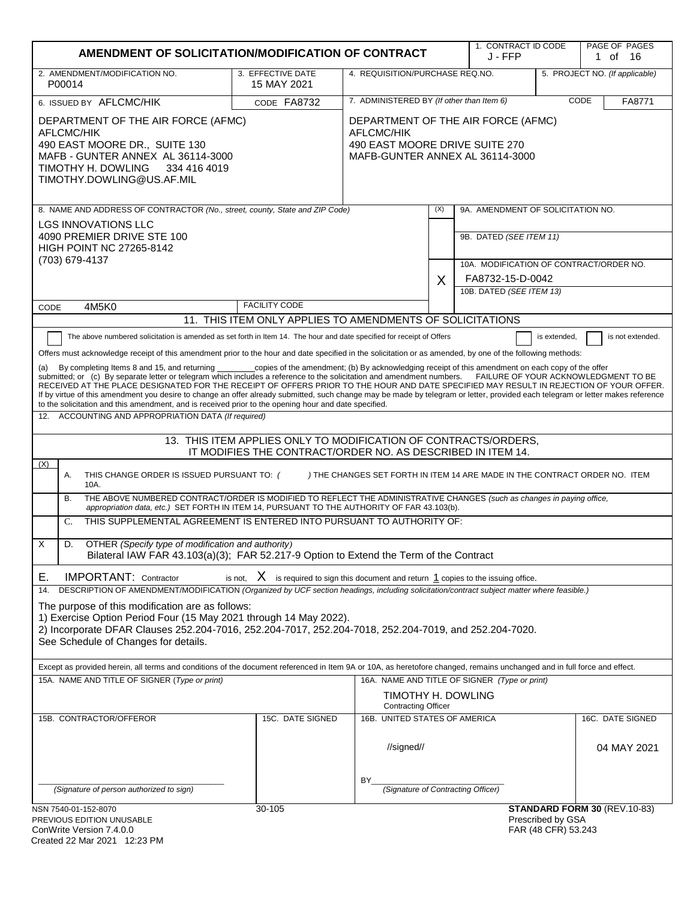|                                                                                                                                                                                                                                                                                                                                                                                                                                                                                                                                                                                                                                                                                                                                                                                                                                                                                                                                                                                                                                                                                                                                                                                                                                                                                                                                                                                                                                                                                                                                                                                                                                                                                                                                                                                                                                                                                                                                                                                                                                                                                                                                                                                                                                                                                                                                                                                                                                | AMENDMENT OF SOLICITATION/MODIFICATION OF CONTRACT                                                                    |                                                                                                                                                                                                                           |     |                                         | 1. CONTRACT ID CODE<br>PAGE OF PAGES<br>J - FFP<br>1 of 16 |                                 |
|--------------------------------------------------------------------------------------------------------------------------------------------------------------------------------------------------------------------------------------------------------------------------------------------------------------------------------------------------------------------------------------------------------------------------------------------------------------------------------------------------------------------------------------------------------------------------------------------------------------------------------------------------------------------------------------------------------------------------------------------------------------------------------------------------------------------------------------------------------------------------------------------------------------------------------------------------------------------------------------------------------------------------------------------------------------------------------------------------------------------------------------------------------------------------------------------------------------------------------------------------------------------------------------------------------------------------------------------------------------------------------------------------------------------------------------------------------------------------------------------------------------------------------------------------------------------------------------------------------------------------------------------------------------------------------------------------------------------------------------------------------------------------------------------------------------------------------------------------------------------------------------------------------------------------------------------------------------------------------------------------------------------------------------------------------------------------------------------------------------------------------------------------------------------------------------------------------------------------------------------------------------------------------------------------------------------------------------------------------------------------------------------------------------------------------|-----------------------------------------------------------------------------------------------------------------------|---------------------------------------------------------------------------------------------------------------------------------------------------------------------------------------------------------------------------|-----|-----------------------------------------|------------------------------------------------------------|---------------------------------|
| 2. AMENDMENT/MODIFICATION NO.<br>P00014                                                                                                                                                                                                                                                                                                                                                                                                                                                                                                                                                                                                                                                                                                                                                                                                                                                                                                                                                                                                                                                                                                                                                                                                                                                                                                                                                                                                                                                                                                                                                                                                                                                                                                                                                                                                                                                                                                                                                                                                                                                                                                                                                                                                                                                                                                                                                                                        | 3. EFFECTIVE DATE<br>15 MAY 2021                                                                                      | 4. REQUISITION/PURCHASE REQ.NO.                                                                                                                                                                                           |     |                                         |                                                            | 5. PROJECT NO. (If applicable)  |
| 6. ISSUED BY AFLCMC/HIK                                                                                                                                                                                                                                                                                                                                                                                                                                                                                                                                                                                                                                                                                                                                                                                                                                                                                                                                                                                                                                                                                                                                                                                                                                                                                                                                                                                                                                                                                                                                                                                                                                                                                                                                                                                                                                                                                                                                                                                                                                                                                                                                                                                                                                                                                                                                                                                                        | CODE FA8732                                                                                                           | 7. ADMINISTERED BY (If other than Item 6)                                                                                                                                                                                 |     |                                         |                                                            | CODE<br>FA8771                  |
| DEPARTMENT OF THE AIR FORCE (AFMC)<br><b>AFLCMC/HIK</b><br>490 EAST MOORE DR., SUITE 130<br>MAFB - GUNTER ANNEX AL 36114-3000<br>TIMOTHY H. DOWLING<br>334 416 4019<br>TIMOTHY.DOWLING@US.AF.MIL                                                                                                                                                                                                                                                                                                                                                                                                                                                                                                                                                                                                                                                                                                                                                                                                                                                                                                                                                                                                                                                                                                                                                                                                                                                                                                                                                                                                                                                                                                                                                                                                                                                                                                                                                                                                                                                                                                                                                                                                                                                                                                                                                                                                                               | DEPARTMENT OF THE AIR FORCE (AFMC)<br>AFLCMC/HIK<br>490 EAST MOORE DRIVE SUITE 270<br>MAFB-GUNTER ANNEX AL 36114-3000 |                                                                                                                                                                                                                           |     |                                         |                                                            |                                 |
| 8. NAME AND ADDRESS OF CONTRACTOR (No., street, county, State and ZIP Code)                                                                                                                                                                                                                                                                                                                                                                                                                                                                                                                                                                                                                                                                                                                                                                                                                                                                                                                                                                                                                                                                                                                                                                                                                                                                                                                                                                                                                                                                                                                                                                                                                                                                                                                                                                                                                                                                                                                                                                                                                                                                                                                                                                                                                                                                                                                                                    |                                                                                                                       |                                                                                                                                                                                                                           | (X) | 9A. AMENDMENT OF SOLICITATION NO.       |                                                            |                                 |
| <b>LGS INNOVATIONS LLC</b><br>4090 PREMIER DRIVE STE 100<br><b>HIGH POINT NC 27265-8142</b>                                                                                                                                                                                                                                                                                                                                                                                                                                                                                                                                                                                                                                                                                                                                                                                                                                                                                                                                                                                                                                                                                                                                                                                                                                                                                                                                                                                                                                                                                                                                                                                                                                                                                                                                                                                                                                                                                                                                                                                                                                                                                                                                                                                                                                                                                                                                    |                                                                                                                       |                                                                                                                                                                                                                           |     | 9B. DATED (SEE ITEM 11)                 |                                                            |                                 |
| (703) 679-4137                                                                                                                                                                                                                                                                                                                                                                                                                                                                                                                                                                                                                                                                                                                                                                                                                                                                                                                                                                                                                                                                                                                                                                                                                                                                                                                                                                                                                                                                                                                                                                                                                                                                                                                                                                                                                                                                                                                                                                                                                                                                                                                                                                                                                                                                                                                                                                                                                 |                                                                                                                       |                                                                                                                                                                                                                           |     | 10A. MODIFICATION OF CONTRACT/ORDER NO. |                                                            |                                 |
|                                                                                                                                                                                                                                                                                                                                                                                                                                                                                                                                                                                                                                                                                                                                                                                                                                                                                                                                                                                                                                                                                                                                                                                                                                                                                                                                                                                                                                                                                                                                                                                                                                                                                                                                                                                                                                                                                                                                                                                                                                                                                                                                                                                                                                                                                                                                                                                                                                |                                                                                                                       |                                                                                                                                                                                                                           | X   | FA8732-15-D-0042                        |                                                            |                                 |
| 4M5K0<br>CODE                                                                                                                                                                                                                                                                                                                                                                                                                                                                                                                                                                                                                                                                                                                                                                                                                                                                                                                                                                                                                                                                                                                                                                                                                                                                                                                                                                                                                                                                                                                                                                                                                                                                                                                                                                                                                                                                                                                                                                                                                                                                                                                                                                                                                                                                                                                                                                                                                  | <b>FACILITY CODE</b>                                                                                                  |                                                                                                                                                                                                                           |     | 10B. DATED (SEE ITEM 13)                |                                                            |                                 |
|                                                                                                                                                                                                                                                                                                                                                                                                                                                                                                                                                                                                                                                                                                                                                                                                                                                                                                                                                                                                                                                                                                                                                                                                                                                                                                                                                                                                                                                                                                                                                                                                                                                                                                                                                                                                                                                                                                                                                                                                                                                                                                                                                                                                                                                                                                                                                                                                                                | 11. THIS ITEM ONLY APPLIES TO AMENDMENTS OF SOLICITATIONS                                                             |                                                                                                                                                                                                                           |     |                                         |                                                            |                                 |
| The above numbered solicitation is amended as set forth in Item 14. The hour and date specified for receipt of Offers<br>is not extended.<br>is extended,<br>Offers must acknowledge receipt of this amendment prior to the hour and date specified in the solicitation or as amended, by one of the following methods:<br>By completing Items 8 and 15, and returning<br>_copies of the amendment; (b) By acknowledging receipt of this amendment on each copy of the offer<br>submitted; or (c) By separate letter or telegram which includes a reference to the solicitation and amendment numbers. FAILURE OF YOUR ACKNOWLEDGMENT TO BE<br>RECEIVED AT THE PLACE DESIGNATED FOR THE RECEIPT OF OFFERS PRIOR TO THE HOUR AND DATE SPECIFIED MAY RESULT IN REJECTION OF YOUR OFFER.<br>If by virtue of this amendment you desire to change an offer already submitted, such change may be made by telegram or letter, provided each telegram or letter makes reference<br>to the solicitation and this amendment, and is received prior to the opening hour and date specified.<br>ACCOUNTING AND APPROPRIATION DATA (If required)<br>12.<br>13. THIS ITEM APPLIES ONLY TO MODIFICATION OF CONTRACTS/ORDERS,<br>IT MODIFIES THE CONTRACT/ORDER NO. AS DESCRIBED IN ITEM 14.<br>(X)<br>Α.<br>THIS CHANGE ORDER IS ISSUED PURSUANT TO: (<br>) THE CHANGES SET FORTH IN ITEM 14 ARE MADE IN THE CONTRACT ORDER NO. ITEM<br>10A.<br>THE ABOVE NUMBERED CONTRACT/ORDER IS MODIFIED TO REFLECT THE ADMINISTRATIVE CHANGES (such as changes in paying office,<br>В.<br>appropriation data, etc.) SET FORTH IN ITEM 14, PURSUANT TO THE AUTHORITY OF FAR 43.103(b).<br>THIS SUPPLEMENTAL AGREEMENT IS ENTERED INTO PURSUANT TO AUTHORITY OF:<br>C.<br>X<br>D.<br>OTHER (Specify type of modification and authority)<br>Bilateral IAW FAR 43.103(a)(3); FAR 52.217-9 Option to Extend the Term of the Contract<br><b>IMPORTANT:</b> Contractor<br>is not, $X$ is required to sign this document and return $1$ copies to the issuing office.<br>Е.<br>14. DESCRIPTION OF AMENDMENT/MODIFICATION (Organized by UCF section headings, including solicitation/contract subject matter where feasible.)<br>The purpose of this modification are as follows:<br>1) Exercise Option Period Four (15 May 2021 through 14 May 2022).<br>2) Incorporate DFAR Clauses 252.204-7016, 252.204-7017, 252.204-7018, 252.204-7019, and 252.204-7020. |                                                                                                                       |                                                                                                                                                                                                                           |     |                                         |                                                            |                                 |
|                                                                                                                                                                                                                                                                                                                                                                                                                                                                                                                                                                                                                                                                                                                                                                                                                                                                                                                                                                                                                                                                                                                                                                                                                                                                                                                                                                                                                                                                                                                                                                                                                                                                                                                                                                                                                                                                                                                                                                                                                                                                                                                                                                                                                                                                                                                                                                                                                                |                                                                                                                       |                                                                                                                                                                                                                           |     |                                         |                                                            |                                 |
| 15A. NAME AND TITLE OF SIGNER (Type or print)                                                                                                                                                                                                                                                                                                                                                                                                                                                                                                                                                                                                                                                                                                                                                                                                                                                                                                                                                                                                                                                                                                                                                                                                                                                                                                                                                                                                                                                                                                                                                                                                                                                                                                                                                                                                                                                                                                                                                                                                                                                                                                                                                                                                                                                                                                                                                                                  |                                                                                                                       | Except as provided herein, all terms and conditions of the document referenced in Item 9A or 10A, as heretofore changed, remains unchanged and in full force and effect.<br>16A. NAME AND TITLE OF SIGNER (Type or print) |     |                                         |                                                            |                                 |
|                                                                                                                                                                                                                                                                                                                                                                                                                                                                                                                                                                                                                                                                                                                                                                                                                                                                                                                                                                                                                                                                                                                                                                                                                                                                                                                                                                                                                                                                                                                                                                                                                                                                                                                                                                                                                                                                                                                                                                                                                                                                                                                                                                                                                                                                                                                                                                                                                                |                                                                                                                       | TIMOTHY H. DOWLING<br><b>Contracting Officer</b>                                                                                                                                                                          |     |                                         |                                                            |                                 |
| 15B. CONTRACTOR/OFFEROR                                                                                                                                                                                                                                                                                                                                                                                                                                                                                                                                                                                                                                                                                                                                                                                                                                                                                                                                                                                                                                                                                                                                                                                                                                                                                                                                                                                                                                                                                                                                                                                                                                                                                                                                                                                                                                                                                                                                                                                                                                                                                                                                                                                                                                                                                                                                                                                                        | 15C. DATE SIGNED                                                                                                      | 16B. UNITED STATES OF AMERICA<br>//signed//                                                                                                                                                                               |     |                                         |                                                            | 16C. DATE SIGNED<br>04 MAY 2021 |
| (Signature of person authorized to sign)                                                                                                                                                                                                                                                                                                                                                                                                                                                                                                                                                                                                                                                                                                                                                                                                                                                                                                                                                                                                                                                                                                                                                                                                                                                                                                                                                                                                                                                                                                                                                                                                                                                                                                                                                                                                                                                                                                                                                                                                                                                                                                                                                                                                                                                                                                                                                                                       |                                                                                                                       | BY.<br>(Signature of Contracting Officer)                                                                                                                                                                                 |     |                                         |                                                            |                                 |
| NSN 7540-01-152-8070<br>PREVIOUS EDITION UNUSABLE<br>ConWrite Version 7.4.0.0                                                                                                                                                                                                                                                                                                                                                                                                                                                                                                                                                                                                                                                                                                                                                                                                                                                                                                                                                                                                                                                                                                                                                                                                                                                                                                                                                                                                                                                                                                                                                                                                                                                                                                                                                                                                                                                                                                                                                                                                                                                                                                                                                                                                                                                                                                                                                  | 30-105                                                                                                                |                                                                                                                                                                                                                           |     |                                         | Prescribed by GSA<br>FAR (48 CFR) 53.243                   | STANDARD FORM 30 (REV.10-83)    |

| ConWrite Version 7.4.0.0     |  |
|------------------------------|--|
| Created 22 Mar 2021 12:23 PM |  |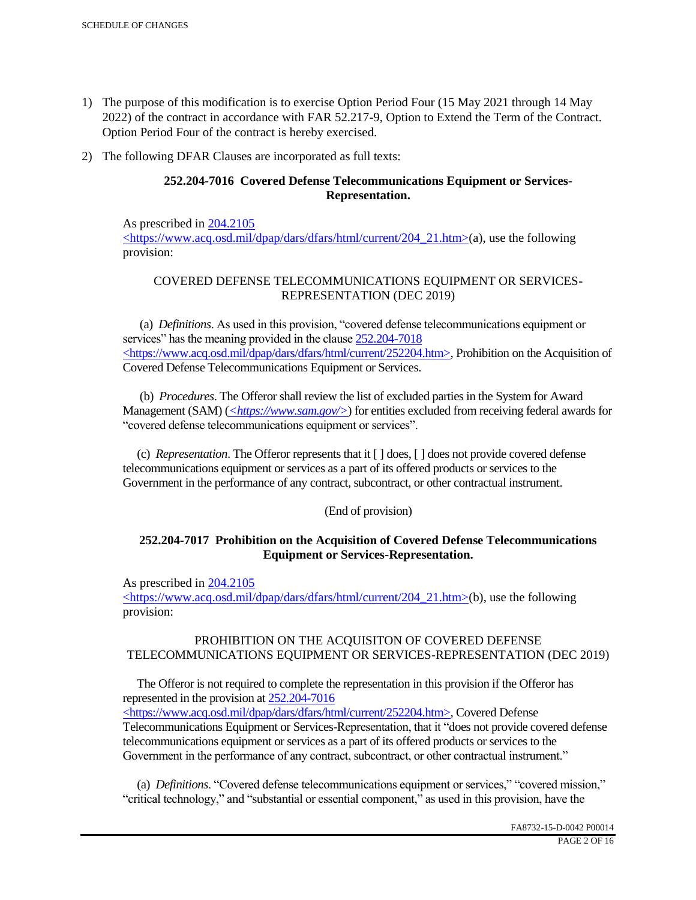- 1) The purpose of this modification is to exercise Option Period Four (15 May 2021 through 14 May 2022) of the contract in accordance with FAR 52.217-9, Option to Extend the Term of the Contract. Option Period Four of the contract is hereby exercised.
- 2) The following DFAR Clauses are incorporated as full texts:

# **252.204-7016 Covered Defense Telecommunications Equipment or Services-Representation.**

As prescribed in 204.2105 <https://www.acq.osd.mil/dpap/dars/dfars/html/current/204\_21.htm>(a), use the following provision:

# COVERED DEFENSE TELECOMMUNICATIONS EQUIPMENT OR SERVICES-REPRESENTATION (DEC 2019)

 (a) *Definitions*. As used in this provision, "covered defense telecommunications equipment or services" has the meaning provided in the clause  $252.204 - 7018$ <https://www.acq.osd.mil/dpap/dars/dfars/html/current/252204.htm>, Prohibition on the Acquisition of Covered Defense Telecommunications Equipment or Services.

 (b) *Procedures*. The Offeror shall review the list of excluded parties in the System for Award Management (SAM) (*<https://www.sam.gov/>*) for entities excluded from receiving federal awards for "covered defense telecommunications equipment or services".

 (c) *Representation*. The Offeror represents that it [ ] does, [ ] does not provide covered defense telecommunications equipment or services as a part of its offered products or services to the Government in the performance of any contract, subcontract, or other contractual instrument.

# (End of provision)

# **252.204-7017 Prohibition on the Acquisition of Covered Defense Telecommunications Equipment or Services-Representation.**

As prescribed in 204.2105

<https://www.acq.osd.mil/dpap/dars/dfars/html/current/204\_21.htm>(b), use the following provision:

# PROHIBITION ON THE ACQUISITON OF COVERED DEFENSE TELECOMMUNICATIONS EQUIPMENT OR SERVICES-REPRESENTATION (DEC 2019)

 The Offeror is not required to complete the representation in this provision if the Offeror has represented in the provision at 252.204-7016

<https://www.acq.osd.mil/dpap/dars/dfars/html/current/252204.htm>, Covered Defense Telecommunications Equipment or Services-Representation, that it "does not provide covered defense telecommunications equipment or services as a part of its offered products or services to the Government in the performance of any contract, subcontract, or other contractual instrument."

 (a) *Definitions*. "Covered defense telecommunications equipment or services," "covered mission," "critical technology," and "substantial or essential component," as used in this provision, have the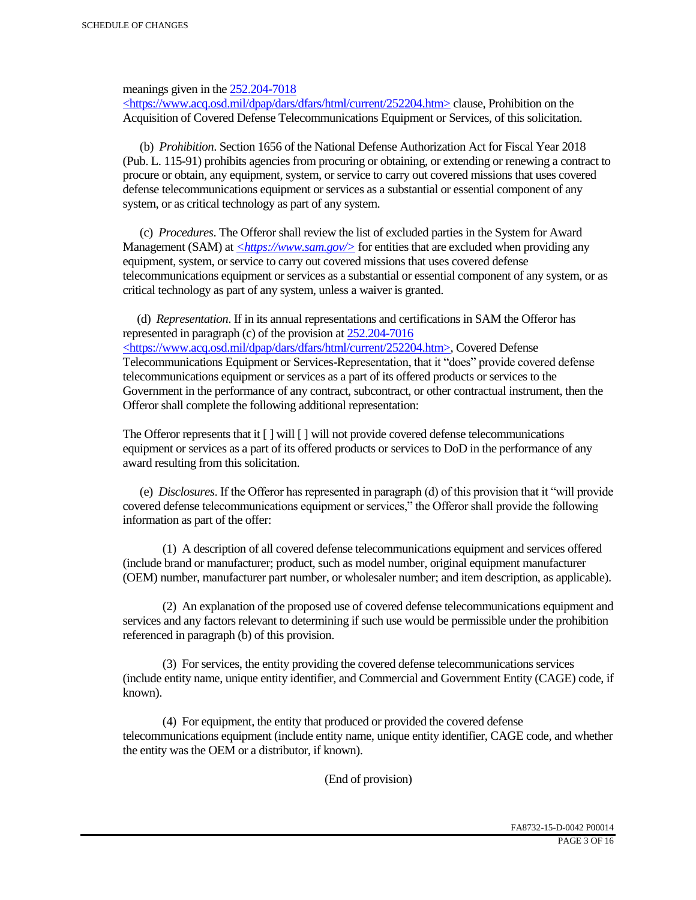meanings given in the 252.204-7018

 $\langle$ https://www.acq.osd.mil/dpap/dars/dfars/html/current/252204.htm> clause, Prohibition on the Acquisition of Covered Defense Telecommunications Equipment or Services, of this solicitation.

 (b) *Prohibition*. Section 1656 of the National Defense Authorization Act for Fiscal Year 2018 (Pub. L. 115-91) prohibits agencies from procuring or obtaining, or extending or renewing a contract to procure or obtain, any equipment, system, or service to carry out covered missions that uses covered defense telecommunications equipment or services as a substantial or essential component of any system, or as critical technology as part of any system.

 (c) *Procedures*. The Offeror shall review the list of excluded parties in the System for Award Management (SAM) at  $\leq$ https://www.sam.gov/> for entities that are excluded when providing any equipment, system, or service to carry out covered missions that uses covered defense telecommunications equipment or services as a substantial or essential component of any system, or as critical technology as part of any system, unless a waiver is granted.

 (d) *Representation*. If in its annual representations and certifications in SAM the Offeror has represented in paragraph (c) of the provision at 252.204-7016 <https://www.acq.osd.mil/dpap/dars/dfars/html/current/252204.htm>, Covered Defense Telecommunications Equipment or Services-Representation, that it "does" provide covered defense telecommunications equipment or services as a part of its offered products or services to the Government in the performance of any contract, subcontract, or other contractual instrument, then the Offeror shall complete the following additional representation:

The Offeror represents that it  $\lceil \cdot \rceil$  will  $\lceil \cdot \rceil$  will not provide covered defense telecommunications equipment or services as a part of its offered products or services to DoD in the performance of any award resulting from this solicitation.

 (e) *Disclosures*. If the Offeror has represented in paragraph (d) of this provision that it "will provide covered defense telecommunications equipment or services," the Offeror shall provide the following information as part of the offer:

 (1) A description of all covered defense telecommunications equipment and services offered (include brand or manufacturer; product, such as model number, original equipment manufacturer (OEM) number, manufacturer part number, or wholesaler number; and item description, as applicable).

 (2) An explanation of the proposed use of covered defense telecommunications equipment and services and any factors relevant to determining if such use would be permissible under the prohibition referenced in paragraph (b) of this provision.

 (3) For services, the entity providing the covered defense telecommunications services (include entity name, unique entity identifier, and Commercial and Government Entity (CAGE) code, if known).

 (4) For equipment, the entity that produced or provided the covered defense telecommunications equipment (include entity name, unique entity identifier, CAGE code, and whether the entity was the OEM or a distributor, if known).

(End of provision)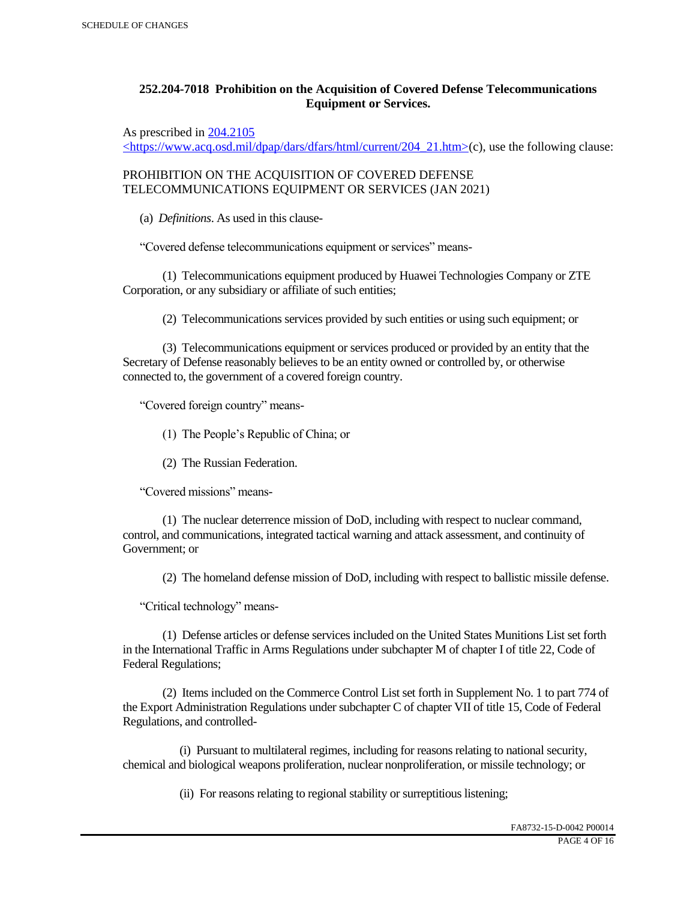# **252.204-7018 Prohibition on the Acquisition of Covered Defense Telecommunications Equipment or Services.**

As prescribed in 204.2105

 $\langle$ https://www.acq.osd.mil/dpap/dars/dfars/html/current/204\_21.htm>(c), use the following clause:

PROHIBITION ON THE ACQUISITION OF COVERED DEFENSE TELECOMMUNICATIONS EQUIPMENT OR SERVICES (JAN 2021)

(a) *Definitions*. As used in this clause-

"Covered defense telecommunications equipment or services" means-

 (1) Telecommunications equipment produced by Huawei Technologies Company or ZTE Corporation, or any subsidiary or affiliate of such entities;

(2) Telecommunications services provided by such entities or using such equipment; or

 (3) Telecommunications equipment or services produced or provided by an entity that the Secretary of Defense reasonably believes to be an entity owned or controlled by, or otherwise connected to, the government of a covered foreign country.

"Covered foreign country" means-

(1) The People's Republic of China; or

(2) The Russian Federation.

"Covered missions" means-

 (1) The nuclear deterrence mission of DoD, including with respect to nuclear command, control, and communications, integrated tactical warning and attack assessment, and continuity of Government; or

(2) The homeland defense mission of DoD, including with respect to ballistic missile defense.

"Critical technology" means-

 (1) Defense articles or defense services included on the United States Munitions List set forth in the International Traffic in Arms Regulations under subchapter M of chapter I of title 22, Code of Federal Regulations;

 (2) Items included on the Commerce Control List set forth in Supplement No. 1 to part 774 of the Export Administration Regulations under subchapter C of chapter VII of title 15, Code of Federal Regulations, and controlled-

 (i) Pursuant to multilateral regimes, including for reasons relating to national security, chemical and biological weapons proliferation, nuclear nonproliferation, or missile technology; or

(ii) For reasons relating to regional stability or surreptitious listening;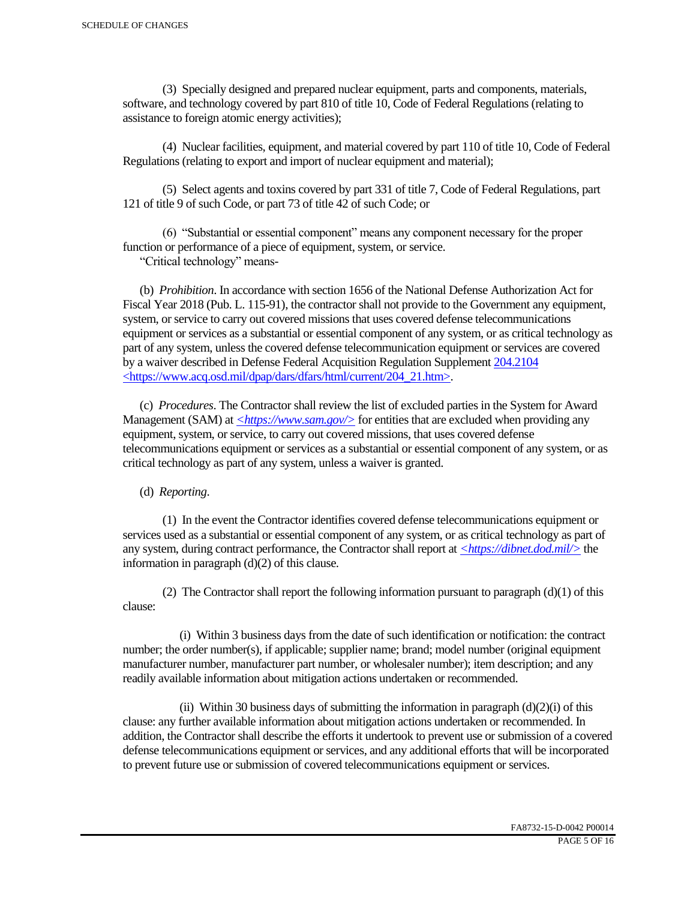(3) Specially designed and prepared nuclear equipment, parts and components, materials, software, and technology covered by part 810 of title 10, Code of Federal Regulations (relating to assistance to foreign atomic energy activities);

 (4) Nuclear facilities, equipment, and material covered by part 110 of title 10, Code of Federal Regulations (relating to export and import of nuclear equipment and material);

 (5) Select agents and toxins covered by part 331 of title 7, Code of Federal Regulations, part 121 of title 9 of such Code, or part 73 of title 42 of such Code; or

 (6) "Substantial or essential component" means any component necessary for the proper function or performance of a piece of equipment, system, or service.

"Critical technology" means-

 (b) *Prohibition*. In accordance with section 1656 of the National Defense Authorization Act for Fiscal Year 2018 (Pub. L. 115-91), the contractor shall not provide to the Government any equipment, system, or service to carry out covered missions that uses covered defense telecommunications equipment or services as a substantial or essential component of any system, or as critical technology as part of any system, unless the covered defense telecommunication equipment or services are covered by a waiver described in Defense Federal Acquisition Regulation Supplement 204.2104 <https://www.acq.osd.mil/dpap/dars/dfars/html/current/204\_21.htm>.

 (c) *Procedures*. The Contractor shall review the list of excluded parties in the System for Award Management (SAM) at  $\langle \frac{https://www.sam.gov/}{>}$  for entities that are excluded when providing any equipment, system, or service, to carry out covered missions, that uses covered defense telecommunications equipment or services as a substantial or essential component of any system, or as critical technology as part of any system, unless a waiver is granted.

(d) *Reporting*.

 (1) In the event the Contractor identifies covered defense telecommunications equipment or services used as a substantial or essential component of any system, or as critical technology as part of any system, during contract performance, the Contractor shall report at *<https://dibnet.dod.mil/>* the information in paragraph (d)(2) of this clause.

(2) The Contractor shall report the following information pursuant to paragraph  $(d)(1)$  of this clause:

 (i) Within 3 business days from the date of such identification or notification: the contract number; the order number(s), if applicable; supplier name; brand; model number (original equipment manufacturer number, manufacturer part number, or wholesaler number); item description; and any readily available information about mitigation actions undertaken or recommended.

(ii) Within 30 business days of submitting the information in paragraph  $(d)(2)(i)$  of this clause: any further available information about mitigation actions undertaken or recommended. In addition, the Contractor shall describe the efforts it undertook to prevent use or submission of a covered defense telecommunications equipment or services, and any additional efforts that will be incorporated to prevent future use or submission of covered telecommunications equipment or services.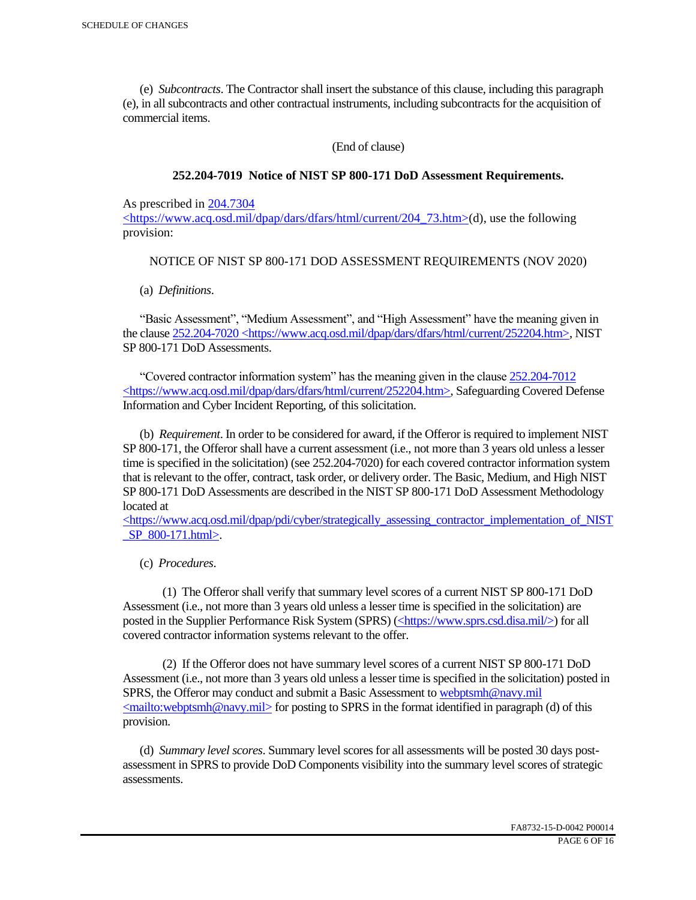(e) *Subcontracts*. The Contractor shall insert the substance of this clause, including this paragraph (e), in all subcontracts and other contractual instruments, including subcontracts for the acquisition of commercial items.

(End of clause)

#### **252.204-7019 Notice of NIST SP 800-171 DoD Assessment Requirements.**

As prescribed in 204.7304

 $\langle$ https://www.acq.osd.mil/dpap/dars/dfars/html/current/204 73.htm>(d), use the following provision:

#### NOTICE OF NIST SP 800-171 DOD ASSESSMENT REQUIREMENTS (NOV 2020)

(a) *Definitions*.

 "Basic Assessment", "Medium Assessment", and "High Assessment" have the meaning given in the clause 252.204-7020 <https://www.acq.osd.mil/dpap/dars/dfars/html/current/252204.htm>, NIST SP 800-171 DoD Assessments.

 "Covered contractor information system" has the meaning given in the clause 252.204-7012 <https://www.acq.osd.mil/dpap/dars/dfars/html/current/252204.htm>, Safeguarding Covered Defense Information and Cyber Incident Reporting, of this solicitation.

 (b) *Requirement*. In order to be considered for award, if the Offeror is required to implement NIST SP 800-171, the Offeror shall have a current assessment (i.e., not more than 3 years old unless a lesser time is specified in the solicitation) (see 252.204-7020) for each covered contractor information system that is relevant to the offer, contract, task order, or delivery order. The Basic, Medium, and High NIST SP 800-171 DoD Assessments are described in the NIST SP 800-171 DoD Assessment Methodology located at

 $\langle$ https://www.acq.osd.mil/dpap/pdi/cyber/strategically\_assessing\_contractor\_implementation\_of\_NIST \_SP\_800-171.html>.

(c) *Procedures*.

 (1) The Offeror shall verify that summary level scores of a current NIST SP 800-171 DoD Assessment (i.e., not more than 3 years old unless a lesser time is specified in the solicitation) are posted in the Supplier Performance Risk System (SPRS) (<https://www.sprs.csd.disa.mil/>) for all covered contractor information systems relevant to the offer.

 (2) If the Offeror does not have summary level scores of a current NIST SP 800-171 DoD Assessment (i.e., not more than 3 years old unless a lesser time is specified in the solicitation) posted in SPRS, the Offeror may conduct and submit a Basic Assessment to webptsmh@navy.mil  $\leq$ mailto:webptsmh@navy.mil> for posting to SPRS in the format identified in paragraph (d) of this provision.

 (d) *Summary level scores*. Summary level scores for all assessments will be posted 30 days postassessment in SPRS to provide DoD Components visibility into the summary level scores of strategic assessments.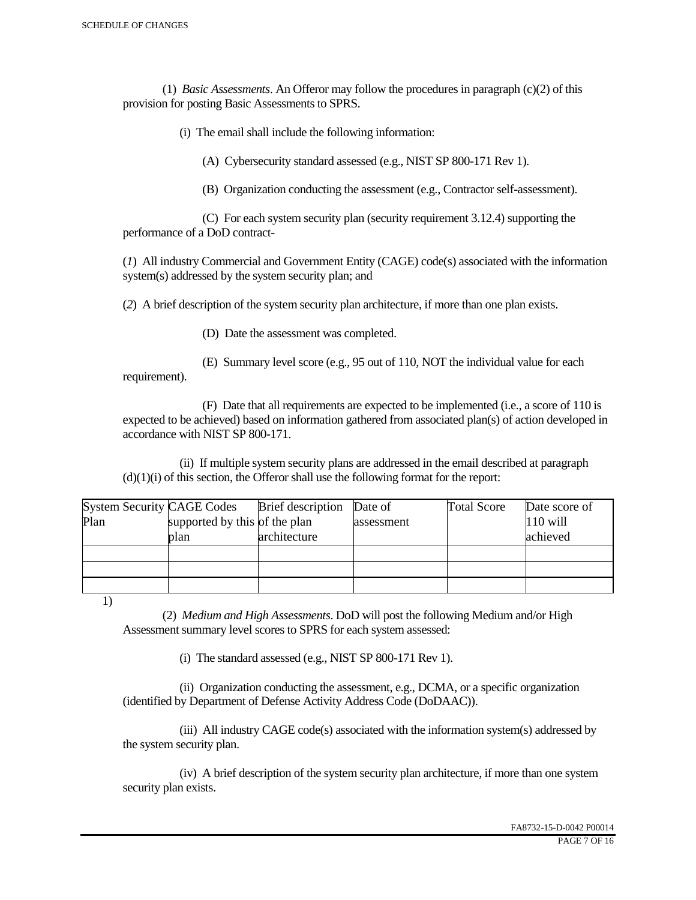(1) *Basic Assessments*. An Offeror may follow the procedures in paragraph (c)(2) of this provision for posting Basic Assessments to SPRS.

(i) The email shall include the following information:

(A) Cybersecurity standard assessed (e.g., NIST SP 800-171 Rev 1).

(B) Organization conducting the assessment (e.g., Contractor self-assessment).

 (C) For each system security plan (security requirement 3.12.4) supporting the performance of a DoD contract-

(*1*) All industry Commercial and Government Entity (CAGE) code(s) associated with the information system(s) addressed by the system security plan; and

(*2*) A brief description of the system security plan architecture, if more than one plan exists.

(D) Date the assessment was completed.

 (E) Summary level score (e.g., 95 out of 110, NOT the individual value for each requirement).

 (F) Date that all requirements are expected to be implemented (i.e., a score of 110 is expected to be achieved) based on information gathered from associated plan(s) of action developed in accordance with NIST SP 800-171.

 (ii) If multiple system security plans are addressed in the email described at paragraph  $(d)(1)(i)$  of this section, the Offeror shall use the following format for the report:

| <b>System Security CAGE Codes</b> |                               | <b>Brief</b> description | Date of    | <b>Total Score</b> | Date score of |
|-----------------------------------|-------------------------------|--------------------------|------------|--------------------|---------------|
| Plan                              | supported by this of the plan |                          | assessment |                    | $110$ will    |
|                                   | plan                          | architecture             |            |                    | achieved      |
|                                   |                               |                          |            |                    |               |
|                                   |                               |                          |            |                    |               |
|                                   |                               |                          |            |                    |               |

1)

 (2) *Medium and High Assessments*. DoD will post the following Medium and/or High Assessment summary level scores to SPRS for each system assessed:

(i) The standard assessed (e.g., NIST SP 800-171 Rev 1).

 (ii) Organization conducting the assessment, e.g., DCMA, or a specific organization (identified by Department of Defense Activity Address Code (DoDAAC)).

 (iii) All industry CAGE code(s) associated with the information system(s) addressed by the system security plan.

 (iv) A brief description of the system security plan architecture, if more than one system security plan exists.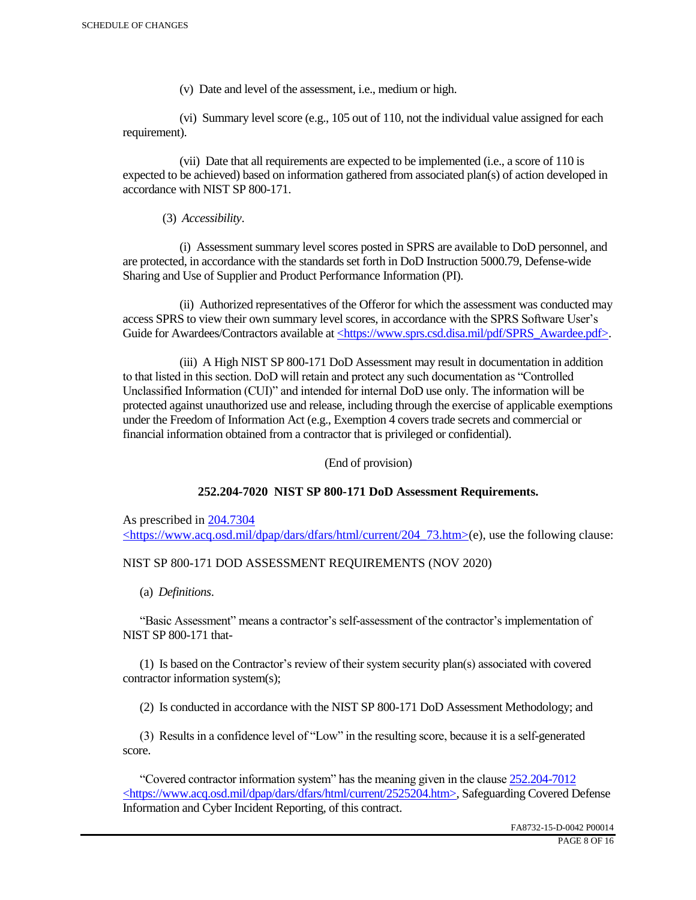(v) Date and level of the assessment, i.e., medium or high.

 (vi) Summary level score (e.g., 105 out of 110, not the individual value assigned for each requirement).

 (vii) Date that all requirements are expected to be implemented (i.e., a score of 110 is expected to be achieved) based on information gathered from associated plan(s) of action developed in accordance with NIST SP 800-171.

(3) *Accessibility*.

 (i) Assessment summary level scores posted in SPRS are available to DoD personnel, and are protected, in accordance with the standards set forth in DoD Instruction 5000.79, Defense-wide Sharing and Use of Supplier and Product Performance Information (PI).

 (ii) Authorized representatives of the Offeror for which the assessment was conducted may access SPRS to view their own summary level scores, in accordance with the SPRS Software User's Guide for Awardees/Contractors available at <https://www.sprs.csd.disa.mil/pdf/SPRS\_Awardee.pdf>.

 (iii) A High NIST SP 800-171 DoD Assessment may result in documentation in addition to that listed in this section. DoD will retain and protect any such documentation as "Controlled Unclassified Information (CUI)" and intended for internal DoD use only. The information will be protected against unauthorized use and release, including through the exercise of applicable exemptions under the Freedom of Information Act (e.g., Exemption 4 covers trade secrets and commercial or financial information obtained from a contractor that is privileged or confidential).

(End of provision)

# **252.204-7020 NIST SP 800-171 DoD Assessment Requirements.**

As prescribed in 204.7304 <https://www.acq.osd.mil/dpap/dars/dfars/html/current/204\_73.htm>(e), use the following clause:

# NIST SP 800-171 DOD ASSESSMENT REQUIREMENTS (NOV 2020)

(a) *Definitions*.

 "Basic Assessment" means a contractor's self-assessment of the contractor's implementation of NIST SP 800-171 that-

 (1) Is based on the Contractor's review of their system security plan(s) associated with covered contractor information system(s);

(2) Is conducted in accordance with the NIST SP 800-171 DoD Assessment Methodology; and

 (3) Results in a confidence level of "Low" in the resulting score, because it is a self-generated score.

 "Covered contractor information system" has the meaning given in the clause 252.204-7012 <https://www.acq.osd.mil/dpap/dars/dfars/html/current/2525204.htm>, Safeguarding Covered Defense Information and Cyber Incident Reporting, of this contract.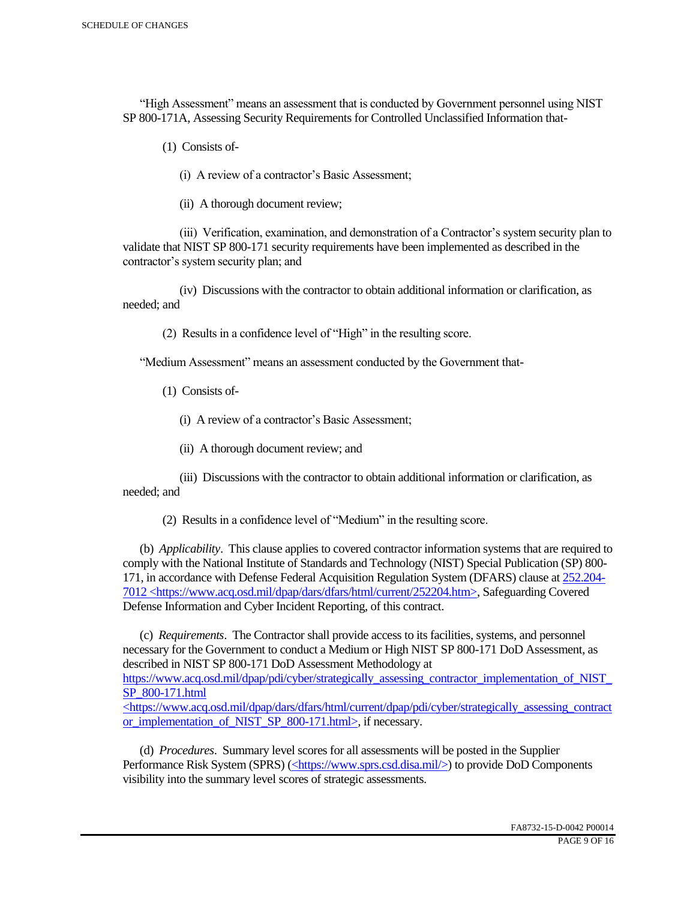"High Assessment" means an assessment that is conducted by Government personnel using NIST SP 800-171A, Assessing Security Requirements for Controlled Unclassified Information that-

(1) Consists of-

(i) A review of a contractor's Basic Assessment;

(ii) A thorough document review;

 (iii) Verification, examination, and demonstration of a Contractor's system security plan to validate that NIST SP 800-171 security requirements have been implemented as described in the contractor's system security plan; and

 (iv) Discussions with the contractor to obtain additional information or clarification, as needed; and

(2) Results in a confidence level of "High" in the resulting score.

"Medium Assessment" means an assessment conducted by the Government that-

(1) Consists of-

(i) A review of a contractor's Basic Assessment;

(ii) A thorough document review; and

 (iii) Discussions with the contractor to obtain additional information or clarification, as needed; and

(2) Results in a confidence level of "Medium" in the resulting score.

 (b) *Applicability*. This clause applies to covered contractor information systems that are required to comply with the National Institute of Standards and Technology (NIST) Special Publication (SP) 800- 171, in accordance with Defense Federal Acquisition Regulation System (DFARS) clause at 252.204- 7012 <https://www.acq.osd.mil/dpap/dars/dfars/html/current/252204.htm>, Safeguarding Covered Defense Information and Cyber Incident Reporting, of this contract.

 (c) *Requirements*. The Contractor shall provide access to its facilities, systems, and personnel necessary for the Government to conduct a Medium or High NIST SP 800-171 DoD Assessment, as described in NIST SP 800-171 DoD Assessment Methodology at https://www.acq.osd.mil/dpap/pdi/cyber/strategically\_assessing\_contractor\_implementation\_of\_NIST\_ SP\_800-171.html <https://www.acq.osd.mil/dpap/dars/dfars/html/current/dpap/pdi/cyber/strategically\_assessing\_contract

or implementation of NIST SP 800-171.html>, if necessary.

 (d) *Procedures*. Summary level scores for all assessments will be posted in the Supplier Performance Risk System (SPRS) (<https://www.sprs.csd.disa.mil/>) to provide DoD Components visibility into the summary level scores of strategic assessments.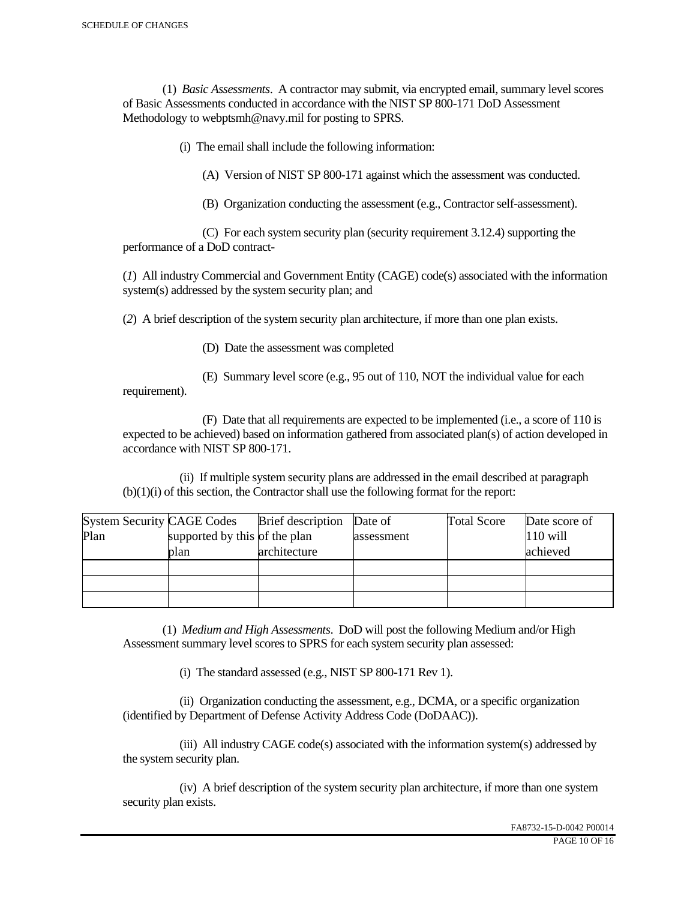(1) *Basic Assessments*. A contractor may submit, via encrypted email, summary level scores of Basic Assessments conducted in accordance with the NIST SP 800-171 DoD Assessment Methodology to webptsmh@navy.mil for posting to SPRS.

(i) The email shall include the following information:

(A) Version of NIST SP 800-171 against which the assessment was conducted.

(B) Organization conducting the assessment (e.g., Contractor self-assessment).

 (C) For each system security plan (security requirement 3.12.4) supporting the performance of a DoD contract-

(*1*) All industry Commercial and Government Entity (CAGE) code(s) associated with the information system(s) addressed by the system security plan; and

(*2*) A brief description of the system security plan architecture, if more than one plan exists.

(D) Date the assessment was completed

requirement).

(E) Summary level score (e.g., 95 out of 110, NOT the individual value for each

 (F) Date that all requirements are expected to be implemented (i.e., a score of 110 is expected to be achieved) based on information gathered from associated plan(s) of action developed in accordance with NIST SP 800-171.

 (ii) If multiple system security plans are addressed in the email described at paragraph (b)(1)(i) of this section, the Contractor shall use the following format for the report:

| <b>System Security CAGE Codes</b> |                               | <b>Brief</b> description | Date of    | <b>Total Score</b> | Date score of |
|-----------------------------------|-------------------------------|--------------------------|------------|--------------------|---------------|
| Plan                              | supported by this of the plan |                          | assessment |                    | $110$ will    |
|                                   | plan                          | architecture             |            |                    | achieved      |
|                                   |                               |                          |            |                    |               |
|                                   |                               |                          |            |                    |               |
|                                   |                               |                          |            |                    |               |

 (1) *Medium and High Assessments*. DoD will post the following Medium and/or High Assessment summary level scores to SPRS for each system security plan assessed:

(i) The standard assessed (e.g., NIST SP 800-171 Rev 1).

 (ii) Organization conducting the assessment, e.g., DCMA, or a specific organization (identified by Department of Defense Activity Address Code (DoDAAC)).

 (iii) All industry CAGE code(s) associated with the information system(s) addressed by the system security plan.

 (iv) A brief description of the system security plan architecture, if more than one system security plan exists.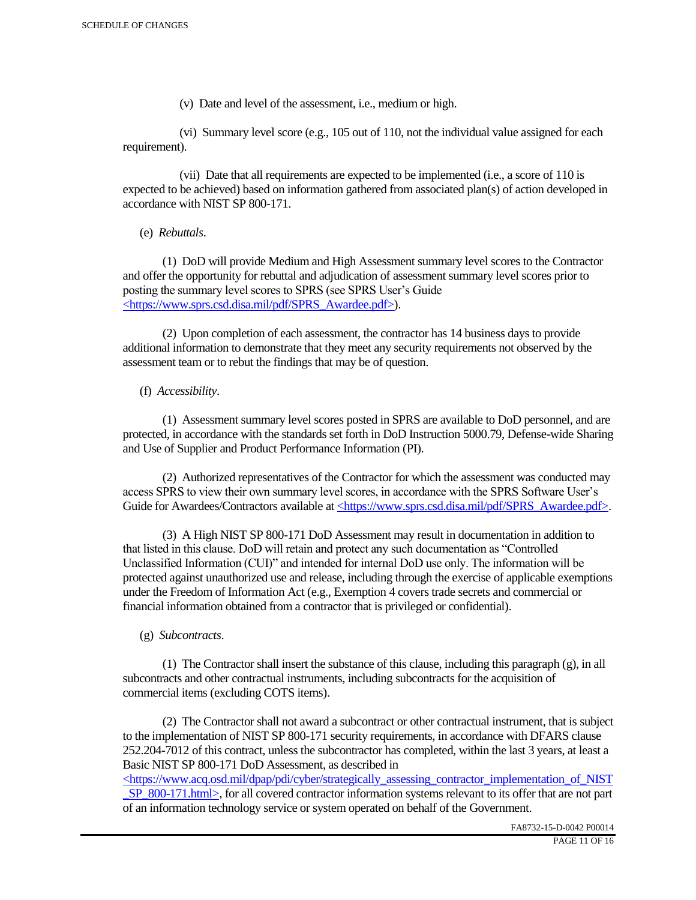(v) Date and level of the assessment, i.e., medium or high.

 (vi) Summary level score (e.g., 105 out of 110, not the individual value assigned for each requirement).

 (vii) Date that all requirements are expected to be implemented (i.e., a score of 110 is expected to be achieved) based on information gathered from associated plan(s) of action developed in accordance with NIST SP 800-171.

(e) *Rebuttals*.

 (1) DoD will provide Medium and High Assessment summary level scores to the Contractor and offer the opportunity for rebuttal and adjudication of assessment summary level scores prior to posting the summary level scores to SPRS (see SPRS User's Guide <https://www.sprs.csd.disa.mil/pdf/SPRS\_Awardee.pdf>).

 (2) Upon completion of each assessment, the contractor has 14 business days to provide additional information to demonstrate that they meet any security requirements not observed by the assessment team or to rebut the findings that may be of question.

# (f) *Accessibility*.

 (1) Assessment summary level scores posted in SPRS are available to DoD personnel, and are protected, in accordance with the standards set forth in DoD Instruction 5000.79, Defense-wide Sharing and Use of Supplier and Product Performance Information (PI).

 (2) Authorized representatives of the Contractor for which the assessment was conducted may access SPRS to view their own summary level scores, in accordance with the SPRS Software User's Guide for Awardees/Contractors available at <https://www.sprs.csd.disa.mil/pdf/SPRS\_Awardee.pdf>.

 (3) A High NIST SP 800-171 DoD Assessment may result in documentation in addition to that listed in this clause. DoD will retain and protect any such documentation as "Controlled Unclassified Information (CUI)" and intended for internal DoD use only. The information will be protected against unauthorized use and release, including through the exercise of applicable exemptions under the Freedom of Information Act (e.g., Exemption 4 covers trade secrets and commercial or financial information obtained from a contractor that is privileged or confidential).

# (g) *Subcontracts*.

(1) The Contractor shall insert the substance of this clause, including this paragraph  $(g)$ , in all subcontracts and other contractual instruments, including subcontracts for the acquisition of commercial items (excluding COTS items).

 (2) The Contractor shall not award a subcontract or other contractual instrument, that is subject to the implementation of NIST SP 800-171 security requirements, in accordance with DFARS clause 252.204-7012 of this contract, unless the subcontractor has completed, within the last 3 years, at least a Basic NIST SP 800-171 DoD Assessment, as described in

 $\langle$ https://www.acq.osd.mil/dpap/pdi/cyber/strategically\_assessing\_contractor\_implementation\_of\_NIST SP\_800-171.html>, for all covered contractor information systems relevant to its offer that are not part of an information technology service or system operated on behalf of the Government.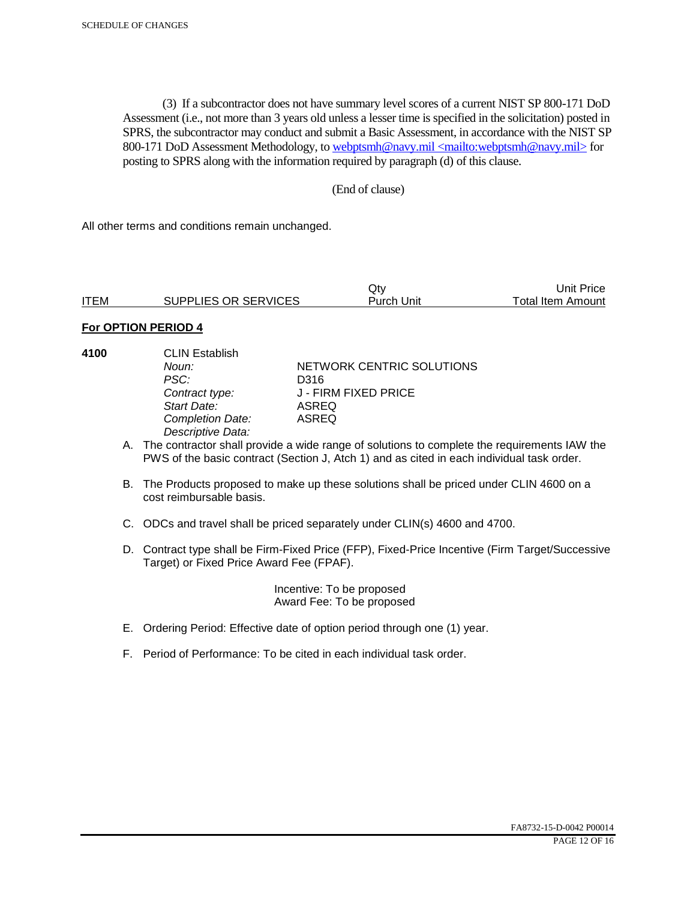(3) If a subcontractor does not have summary level scores of a current NIST SP 800-171 DoD Assessment (i.e., not more than 3 years old unless a lesser time is specified in the solicitation) posted in SPRS, the subcontractor may conduct and submit a Basic Assessment, in accordance with the NIST SP 800-171 DoD Assessment Methodology, to webptsmh@navy.mil <mailto:webptsmh@navy.mil> for posting to SPRS along with the information required by paragraph (d) of this clause.

#### (End of clause)

All other terms and conditions remain unchanged.

|             |                      | Jt∨               | Unit Price l      |
|-------------|----------------------|-------------------|-------------------|
| <b>ITEM</b> | SUPPLIES OR SERVICES | <b>Purch Unit</b> | Total Item Amount |

#### **For OPTION PERIOD 4**

| 4100 | <b>CLIN Establish</b><br>Noun:<br>PSC:<br>Contract type:<br>Start Date:<br><b>Completion Date:</b><br>Descriptive Data: | NETWORK CENTRIC SOLUTIONS<br>D316<br>J - FIRM FIXED PRICE<br>ASREQ<br>ASREQ                                                                                                                 |
|------|-------------------------------------------------------------------------------------------------------------------------|---------------------------------------------------------------------------------------------------------------------------------------------------------------------------------------------|
|      |                                                                                                                         | A. The contractor shall provide a wide range of solutions to complete the requirements IAW the<br>PWS of the basic contract (Section J, Atch 1) and as cited in each individual task order. |
|      | cost reimbursable basis.                                                                                                | B. The Products proposed to make up these solutions shall be priced under CLIN 4600 on a                                                                                                    |
|      |                                                                                                                         | C. ODCs and travel shall be priced separately under CLIN(s) 4600 and 4700.                                                                                                                  |

D. Contract type shall be Firm-Fixed Price (FFP), Fixed-Price Incentive (Firm Target/Successive Target) or Fixed Price Award Fee (FPAF).

> Incentive: To be proposed Award Fee: To be proposed

- E. Ordering Period: Effective date of option period through one (1) year.
- F. Period of Performance: To be cited in each individual task order.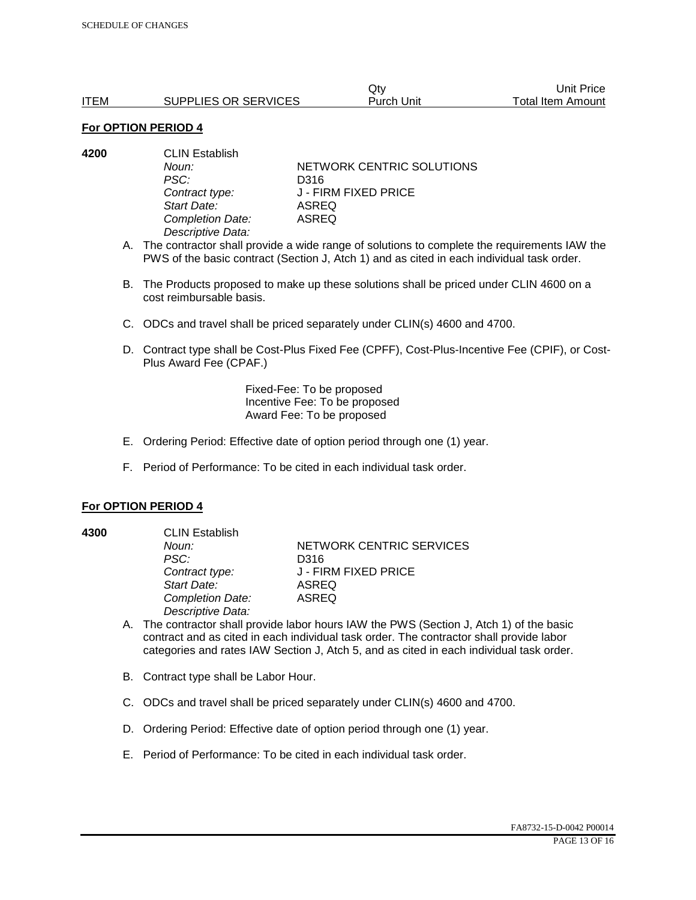|             |                      | Qtv        | Unit Price        |
|-------------|----------------------|------------|-------------------|
| <b>ITEM</b> | SUPPLIES OR SERVICES | Purch Unit | Total Item Amount |

| 4200 | <b>CLIN Establish</b> |                           |  |
|------|-----------------------|---------------------------|--|
|      | Noun:                 | NETWORK CENTRIC SOLUTIONS |  |
|      | PSC:                  | D316                      |  |
|      | Contract type:        | J - FIRM FIXED PRICE      |  |
|      | Start Date:           | ASREQ                     |  |
|      | Completion Date:      | ASREQ                     |  |
|      | Descriptive Data:     |                           |  |

- A. The contractor shall provide a wide range of solutions to complete the requirements IAW the PWS of the basic contract (Section J, Atch 1) and as cited in each individual task order.
- B. The Products proposed to make up these solutions shall be priced under CLIN 4600 on a cost reimbursable basis.
- C. ODCs and travel shall be priced separately under CLIN(s) 4600 and 4700.
- D. Contract type shall be Cost-Plus Fixed Fee (CPFF), Cost-Plus-Incentive Fee (CPIF), or Cost-Plus Award Fee (CPAF.)

Fixed-Fee: To be proposed Incentive Fee: To be proposed Award Fee: To be proposed

- E. Ordering Period: Effective date of option period through one (1) year.
- F. Period of Performance: To be cited in each individual task order.

#### **For OPTION PERIOD 4**

**4300** CLIN Establish *PSC:* D316 *Start Date:* ASREQ *Completion Date:* ASREQ *Descriptive Data:* 

**Noun: NETWORK CENTRIC SERVICES** *Contract type:* J - FIRM FIXED PRICE

- A. The contractor shall provide labor hours IAW the PWS (Section J, Atch 1) of the basic contract and as cited in each individual task order. The contractor shall provide labor categories and rates IAW Section J, Atch 5, and as cited in each individual task order.
- B. Contract type shall be Labor Hour.
- C. ODCs and travel shall be priced separately under CLIN(s) 4600 and 4700.
- D. Ordering Period: Effective date of option period through one (1) year.
- E. Period of Performance: To be cited in each individual task order.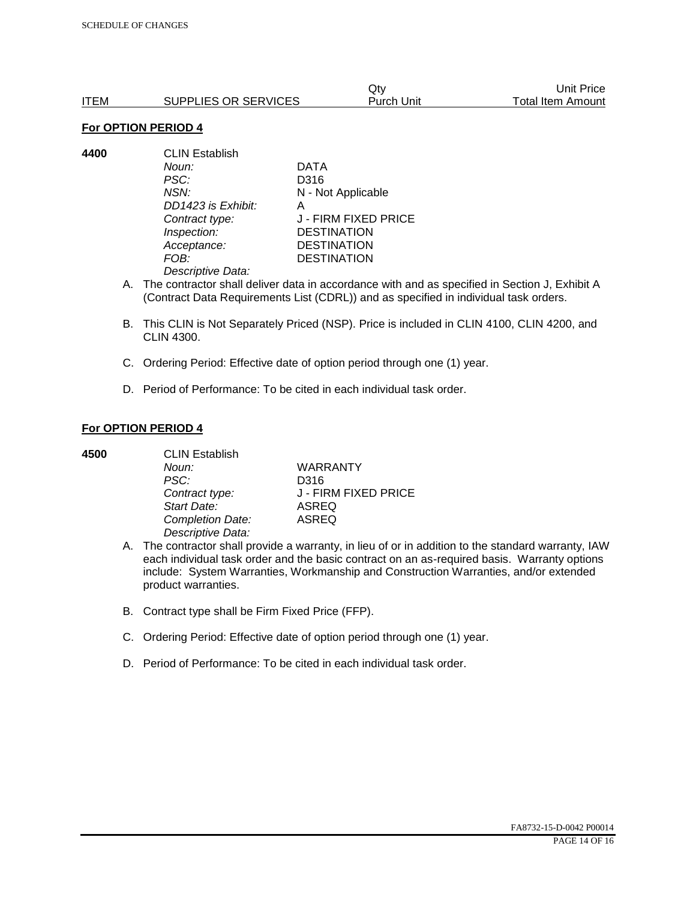|      |                      | Qtv        | Unit Price        |
|------|----------------------|------------|-------------------|
| ITEM | SUPPLIES OR SERVICES | Purch Unit | Total Item Amount |

**4400** CLIN Establish *Noun:* DATA *PSC:* D316 *NSN:* N - Not Applicable *DD1423 is Exhibit:* A *Contract type:* J - FIRM FIXED PRICE *Inspection:* DESTINATION *Acceptance:* DESTINATION *FOB:* DESTINATION *Descriptive Data:* 

- A. The contractor shall deliver data in accordance with and as specified in Section J, Exhibit A (Contract Data Requirements List (CDRL)) and as specified in individual task orders.
- B. This CLIN is Not Separately Priced (NSP). Price is included in CLIN 4100, CLIN 4200, and CLIN 4300.
- C. Ordering Period: Effective date of option period through one (1) year.
- D. Period of Performance: To be cited in each individual task order.

#### **For OPTION PERIOD 4**

| 4500 | <b>CLIN Establish</b> |                      |  |
|------|-----------------------|----------------------|--|
|      | Noun:                 | <b>WARRANTY</b>      |  |
|      | PSC:                  | D316                 |  |
|      | Contract type:        | J - FIRM FIXED PRICE |  |
|      | Start Date:           | <b>ASREQ</b>         |  |
|      | Completion Date:      | <b>ASREQ</b>         |  |
|      | Descriptive Data:     |                      |  |

- A. The contractor shall provide a warranty, in lieu of or in addition to the standard warranty, IAW each individual task order and the basic contract on an as-required basis. Warranty options include: System Warranties, Workmanship and Construction Warranties, and/or extended product warranties.
- B. Contract type shall be Firm Fixed Price (FFP).
- C. Ordering Period: Effective date of option period through one (1) year.
- D. Period of Performance: To be cited in each individual task order.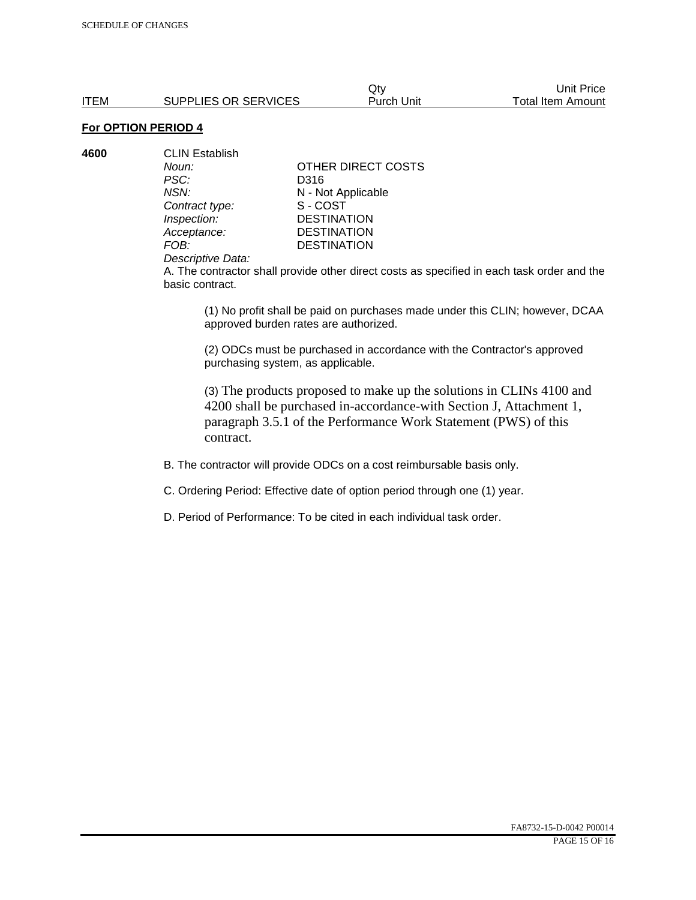**4600** CLIN Establish *PSC:* D316 **Contract type:** *Inspection:* DESTINATION<br> *Acceptance:* DESTINATION *Acceptance:* DESTINATION<br>FOB: DESTINATION

*Noun:* **CONTACT OTHER DIRECT COSTS** *NSN:* **N** - Not Applicable<br>
Contract type: S - COST **DESTINATION** 

#### *Descriptive Data:*

A. The contractor shall provide other direct costs as specified in each task order and the basic contract.

(1) No profit shall be paid on purchases made under this CLIN; however, DCAA approved burden rates are authorized.

(2) ODCs must be purchased in accordance with the Contractor's approved purchasing system, as applicable.

(3) The products proposed to make up the solutions in CLINs 4100 and 4200 shall be purchased in-accordance-with Section J, Attachment 1, paragraph 3.5.1 of the Performance Work Statement (PWS) of this contract.

B. The contractor will provide ODCs on a cost reimbursable basis only.

C. Ordering Period: Effective date of option period through one (1) year.

D. Period of Performance: To be cited in each individual task order.